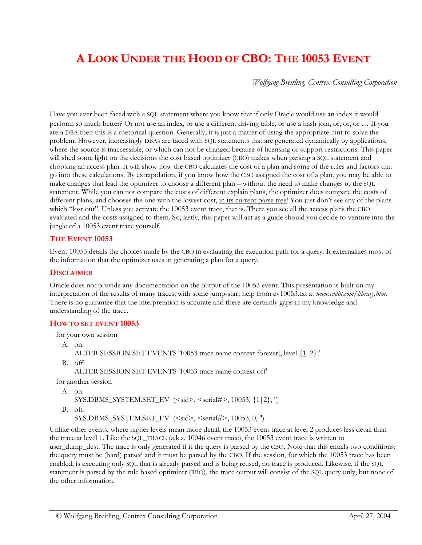# **A LOOK UNDER THE HOOD OF CBO: THE 10053 EVENT**

*Wolfgang Breitling, Centrex Consulting Corporation* 

Have you ever been faced with a SQL statement where you know that if only Oracle would use an index it would perform so much better? Or not use an index, or use a different driving table, or use a hash join, or, or, or … If you are a DBA then this is a rhetorical question. Generally, it is just a matter of using the appropriate hint to solve the problem. However, increasingly DBAs are faced with SQL statements that are generated dynamically by applications, where the source is inaccessible, or which can not be changed because of licensing or support restrictions. This paper will shed some light on the decisions the cost based optimizer (CBO) makes when parsing a SQL statement and choosing an access plan. It will show how the CBO calculates the cost of a plan and some of the rules and factors that go into these calculations. By extrapolation, if you know how the CBO assigned the cost of a plan, you may be able to make changes that lead the optimizer to choose a different plan – without the need to make changes to the SQL statement. While you can not compare the costs of different explain plans, the optimizer does compare the costs of different plans, and chooses the one with the lowest cost, in its current parse tree! You just don't see any of the plans which "lost out". Unless you activate the 10053 event trace, that is. There you see all the access plans the CBO evaluated and the costs assigned to them. So, lastly, this paper will act as a guide should you decide to venture into the jungle of a 10053 event trace yourself.

#### **THE EVENT 10053**

Event 10053 details the choices made by the CBO in evaluating the execution path for a query. It externalizes most of the information that the optimizer uses in generating a plan for a query.

#### **DISCLAIMER**

Oracle does not provide any documentation on the output of the 10053 event. This presentation is built on my interpretation of the results of many traces; with some jump-start help from ev10053.txt at *www.evdbt.com/library.htm*. There is no guarantee that the interpretation is accurate and there are certainly gaps in my knowledge and understanding of the trace.

#### **HOW TO SET EVENT 10053**

for your own session

A. on:

ALTER SESSION SET EVENTS '10053 trace name context forever[, level {1|2}]'

B. off:

ALTER SESSION SET EVENTS '10053 trace name context off'

for another session

```
A. on:
```

```
SYS.DBMS_SYSTEM.SET_EV (<sid>, <serial#>, 10053, {1|2}, '')
```
B. off:

SYS.DBMS\_SYSTEM.SET\_EV (<sid>, <serial#>, 10053, 0, '')

Unlike other events, where higher levels mean more detail, the 10053 event trace at level 2 produces less detail than the trace at level 1. Like the SQL\_TRACE (a.k.a. 10046 event trace), the 10053 event trace is written to user\_dump\_dest. The trace is only generated if it the query is parsed by the CBO. Note that this entails two conditions: the query must be (hard) parsed and it must be parsed by the CBO. If the session, for which the 10053 trace has been enabled, is executing only SQL that is already parsed and is being reused, no trace is produced. Likewise, if the SQL statement is parsed by the rule based optimizer (RBO), the trace output will consist of the SQL query only, but none of the other information.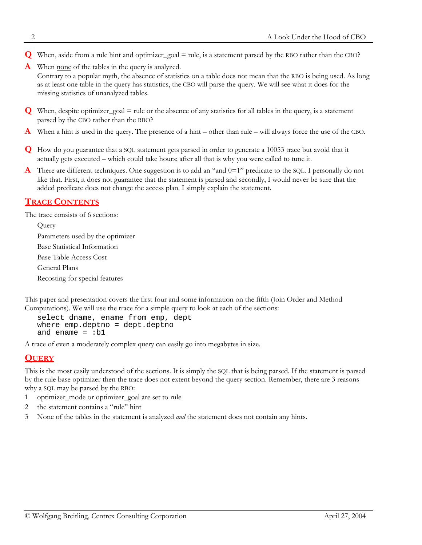- **Q** When, aside from a rule hint and optimizer\_goal = rule, is a statement parsed by the RBO rather than the CBO?
- **A** When <u>none</u> of the tables in the query is analyzed.

Contrary to a popular myth, the absence of statistics on a table does not mean that the RBO is being used. As long as at least one table in the query has statistics, the CBO will parse the query. We will see what it does for the missing statistics of unanalyzed tables.

- **Q** When, despite optimizer\_goal = rule or the absence of any statistics for all tables in the query, is a statement parsed by the CBO rather than the RBO?
- **A** When a hint is used in the query. The presence of a hint other than rule will always force the use of the CBO.
- **Q** How do you guarantee that a SQL statement gets parsed in order to generate a 10053 trace but avoid that it actually gets executed – which could take hours; after all that is why you were called to tune it.
- **A** There are different techniques. One suggestion is to add an "and 0=1" predicate to the SQL. I personally do not like that. First, it does not guarantee that the statement is parsed and secondly, I would never be sure that the added predicate does not change the access plan. I simply explain the statement.

# **TRACE CONTENTS**

The trace consists of 6 sections:

**Ouerv** Parameters used by the optimizer Base Statistical Information Base Table Access Cost General Plans Recosting for special features

This paper and presentation covers the first four and some information on the fifth (Join Order and Method Computations). We will use the trace for a simple query to look at each of the sections:

```
select dname, ename from emp, dept 
where emp.deptno = dept.deptno 
and ename = :b1
```
A trace of even a moderately complex query can easily go into megabytes in size.

## **QUERY**

This is the most easily understood of the sections. It is simply the SQL that is being parsed. If the statement is parsed by the rule base optimizer then the trace does not extent beyond the query section. Remember, there are 3 reasons why a SQL may be parsed by the RBO:

- 1 optimizer\_mode or optimizer\_goal are set to rule
- 2 the statement contains a "rule" hint
- 3 None of the tables in the statement is analyzed *and* the statement does not contain any hints.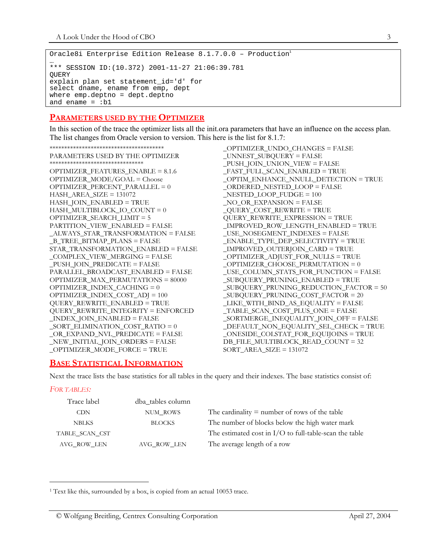```
Oracle8i Enterprise Edition Release 8.1.7.0.0 - Production<sup>1</sup>
… 
*** SESSION ID:(10.372) 2001-11-27 21:06:39.781 
OUERY
explain plan set statement_id='d' for 
select dname, ename from emp, dept 
where emp.deptno = dept.deptno 
and ename = :b1
```
#### **PARAMETERS USED BY THE OPTIMIZER**

In this section of the trace the optimizer lists all the init.ora parameters that have an influence on the access plan. The list changes from Oracle version to version. This here is the list for 8.1.7:

```
***************************************
PARAMETERS USED BY THE OPTIMIZER
********************************
OPTIMIZER_FEATURES_ENABLE = 8.1.6
OPTIMIZER_MODE/GOAL = Choose
OPTIMIZER PERCENT PARALLEL = 0HASH_AREA_SIZE = 131072
HASH_JOIN_ENABLED = TRUE
HASH_MULTIBLOCK_IO_COUNT = 0
OPTIMIZER_SEARCH_LIMIT = 5
PARTITION_VIEW_ENABLED = FALSE
_ALWAYS_STAR_TRANSFORMATION = FALSE
_B_TREE_BITMAP_PLANS = FALSE
STAR_TRANSFORMATION_ENABLED = FALSE
_COMPLEX_VIEW_MERGING = FALSE
_PUSH_JOIN_PREDICATE = FALSE
PARALLEL_BROADCAST_ENABLED = FALSE
OPTIMIZER_MAX_PERMUTATIONS = 80000
OPTIMIZER_INDEX_CACHING = 0
OPTIMIZER_INDEX_COST_ADJ = 100
QUERY_REWRITE_ENABLED = TRUE
QUERY_REWRITE_INTEGRITY = ENFORCED
_INDEX_JOIN_ENABLED = FALSE
_SORT_ELIMINATION_COST_RATIO = 0
_OR_EXPAND_NVL_PREDICATE = FALSE
_NEW_INITIAL_JOIN_ORDERS = FALSE
_OPTIMIZER_MODE_FORCE = TRUE
```
<span id="page-2-1"></span>\_OPTIMIZER\_UNDO\_CHANGES = FALSE \_UNNEST\_SUBQUERY = FALSE \_PUSH\_JOIN\_UNION\_VIEW = FALSE \_FAST\_FULL\_SCAN\_ENABLED = TRUE \_OPTIM\_ENHANCE\_NNULL\_DETECTION = TRUE \_ORDERED\_NESTED\_LOOP = FALSE \_NESTED\_LOOP\_FUDGE = 100 \_NO\_OR\_EXPANSION = FALSE \_QUERY\_COST\_REWRITE = TRUE QUERY\_REWRITE\_EXPRESSION = TRUE \_IMPROVED\_ROW\_LENGTH\_ENABLED = TRUE \_USE\_NOSEGMENT\_INDEXES = FALSE \_ENABLE\_TYPE\_DEP\_SELECTIVITY = TRUE \_IMPROVED\_OUTERJOIN\_CARD = TRUE \_OPTIMIZER\_ADJUST\_FOR\_NULLS = TRUE  $OPTIMIZE$ R $CHOOSE$  $PERMUTATION = 0$ \_USE\_COLUMN\_STATS\_FOR\_FUNCTION = FALSE \_SUBQUERY\_PRUNING\_ENABLED = TRUE \_SUBQUERY\_PRUNING\_REDUCTION\_FACTOR = 50 \_SUBQUERY\_PRUNING\_COST\_FACTOR = 20 \_LIKE\_WITH\_BIND\_AS\_EQUALITY = FALSE \_TABLE\_SCAN\_COST\_PLUS\_ONE = FALSE \_SORTMERGE\_INEQUALITY\_JOIN\_OFF = FALSE \_DEFAULT\_NON\_EQUALITY\_SEL\_CHECK = TRUE \_ONESIDE\_COLSTAT\_FOR\_EQUIJOINS = TRUE DB\_FILE\_MULTIBLOCK\_READ\_COUNT = 32 SORT\_AREA\_SIZE = 131072

## **BASE STATISTICAL INFORMATION**

Next the trace lists the base statistics for all tables in the query and their indexes. The base statistics consist of:

#### *FOR TABLES:*

 $\overline{a}$ 

| Trace label    | dba_tables column |                                                          |
|----------------|-------------------|----------------------------------------------------------|
| <b>CDN</b>     | NUM ROWS          | The cardinality $=$ number of rows of the table          |
| <b>NBLKS</b>   | <b>BLOCKS</b>     | The number of blocks below the high water mark           |
| TABLE_SCAN_CST |                   | The estimated cost in $I/O$ to full-table-scan the table |
| AVG ROW LEN    | AVG ROW LEN       | The average length of a row                              |

<span id="page-2-0"></span><sup>&</sup>lt;sup>1</sup> Text like this, surrounded by a box, is copied from an actual 10053 trace.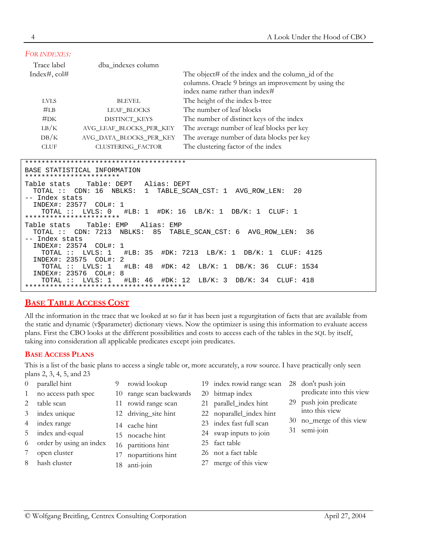| FOR INDEXES:                                                         |                                                                                                                                                           |                                                                                                                                            |
|----------------------------------------------------------------------|-----------------------------------------------------------------------------------------------------------------------------------------------------------|--------------------------------------------------------------------------------------------------------------------------------------------|
| Trace label                                                          | dba_indexes column                                                                                                                                        |                                                                                                                                            |
| Index#, $\text{col#}$                                                |                                                                                                                                                           | The object# of the index and the column_id of the<br>columns. Oracle 9 brings an improvement by using the<br>index name rather than index# |
| <b>LVLS</b>                                                          | <b>BLEVEL</b>                                                                                                                                             | The height of the index b-tree                                                                                                             |
| #LB                                                                  | LEAF BLOCKS                                                                                                                                               | The number of leaf blocks                                                                                                                  |
| #DK                                                                  | DISTINCT_KEYS                                                                                                                                             | The number of distinct keys of the index                                                                                                   |
| LB/K                                                                 | AVG_LEAF_BLOCKS_PER_KEY                                                                                                                                   | The average number of leaf blocks per key                                                                                                  |
| DB/K                                                                 | AVG_DATA_BLOCKS_PER_KEY                                                                                                                                   | The average number of data blocks per key                                                                                                  |
| <b>CLUF</b>                                                          | CLUSTERING FACTOR                                                                                                                                         | The clustering factor of the index                                                                                                         |
|                                                                      |                                                                                                                                                           |                                                                                                                                            |
| ***********************                                              | BASE STATISTICAL INFORMATION                                                                                                                              |                                                                                                                                            |
| Table stats<br>-- Index stats<br>TOTAL ::<br>*********************** | Table: DEPT Alias: DEPT<br>TOTAL :: CDN: 16 NBLKS:<br>1<br>INDEX#: 23577 COL#: 1<br>LVLS: 0                                                               | TABLE SCAN CST: 1 AVG ROW LEN:<br>20<br>$\text{\#LB}: 1 \text{\#DK}: 16 \text{ LB/K}: 1 \text{ DB/K}: 1 \text{ CLUF}: 1$                   |
| Table stats<br>-- Index stats<br>INDEX#: 23574                       | Table: EMP<br>Alias: EMP<br>TOTAL :: CDN: 7213 NBLKS: 85<br>COL#: 1<br>TOTAL :: LVLS: 1<br>INDEX#: 23575 COL#: 2<br>$\text{\#LB}: 48$<br>TOTAL :: LVLS: 1 | TABLE SCAN CST: 6 AVG ROW LEN:<br>36<br>#LB: 35 #DK: 7213 LB/K: 1 DB/K: 1 CLUF: 4125<br>#DK: 42 LB/K: 1 DB/K: 36 CLUF: 1534                |
| TOTAL ::                                                             | INDEX#: 23576 COL#: 8<br>#DK: 12<br>LVLS: 1<br>$\text{\#LB}: 46$                                                                                          | LB/K: 3<br>DB/K: 34<br>CLUF: 418                                                                                                           |

# <span id="page-3-0"></span>**BASE TABLE ACCESS COST**

All the information in the trace that we looked at so far it has been just a regurgitation of facts that are available from the static and dynamic (v\$parameter) dictionary views. Now the optimizer is using this information to evaluate access plans. First the CBO looks at the different possibilities and costs to access each of the tables in the SQL by itself, taking into consideration all applicable predicates except join predicates.

## **BASE ACCESS PLANS**

This is a list of the basic plans to access a single table or, more accurately, a row source. I have practically only seen plans 2, 3, 4, 5, and 23

- 0 parallel hint
- 1 no access path spec
- 2 table scan
- 3 index unique
- 4 index range
- 5 index and-equal
- 6 order by using an index
- 7 open cluster
- 8 hash cluster
- 9 rowid lookup
- 10 range scan backwards
- 11 rowid range scan
- 12 driving site hint
- 14 cache hint
- 15 nocache hint
- 16 partitions hint
- 17 nopartitions hint
- 18 anti-join
- 19 index rowid range scan 20 bitmap index
	-
- 21 parallel\_index hint
- 22 noparallel index hint
- 23 index fast full scan
- 24 swap inputs to join
- 25 fact table
- 26 not a fact table
- 27 merge of this view
- <span id="page-3-1"></span>28 don't push join predicate into this view
- 29 push join predicate into this view
- 30 no\_merge of this view
- 31 semi-join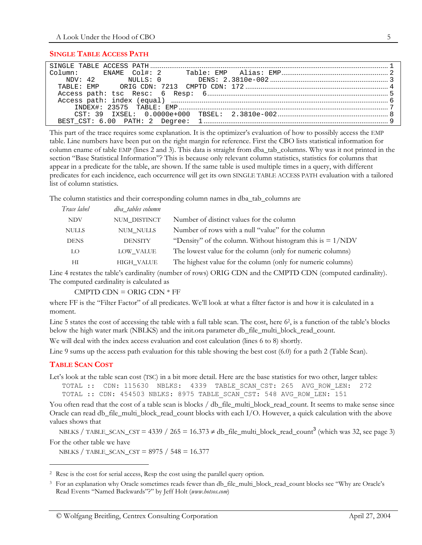#### <span id="page-4-3"></span>**SINGLE TABLE ACCESS PATH**

This part of the trace requires some explanation. It is the optimizer's evaluation of how to possibly access the EMP table. Line numbers have been put on the right margin for reference. First the CBO lists statistical information for column ename of table EMP (lines 2 and 3). This data is straight from dba\_tab\_columns. Why was it not printed in the section "Base Statistical Information"? This is because only relevant column statistics, statistics for columns that appear in a predicate for the table, are shown. If the same table is used multiple times in a query, with different predicates for each incidence, each occurrence will get its own SINGLE TABLE ACCESS PATH evaluation with a tailored list of column statistics.

The column statistics and their corresponding column names in dba\_tab\_columns are

| Trace label  | dba tables column |                                                              |
|--------------|-------------------|--------------------------------------------------------------|
| <b>NDV</b>   | NUM DISTINCT      | Number of distinct values for the column                     |
| <b>NULLS</b> | <b>NUM NULLS</b>  | Number of rows with a null "value" for the column            |
| <b>DENS</b>  | <b>DENSITY</b>    | "Density" of the column. Without histogram this is $= 1/NDV$ |
| LO           | LOW VALUE         | The lowest value for the column (only for numeric columns)   |
| ΗΙ           | <b>HIGH VALUE</b> | The highest value for the column (only for numeric columns)  |

Line 4 restates the table's cardinality (number of rows) ORIG CDN and the CMPTD CDN (computed cardinality). The computed cardinality is calculated as

<span id="page-4-2"></span> $CMPTD$  CDN = ORIG CDN  $*$  FF

where FF is the "Filter Factor" of all predicates. We'll look at what a filter factor is and how it is calculated in a moment.

Line 5 states the cost of accessing the table with a full table scan. The cost, here 6<sup>2</sup>, is a function of the table's blocks below the high water mark (NBLKS) and the init.ora parameter db\_file\_multi\_block\_read\_count.

We will deal with the index access evaluation and cost calculation (lines 6 to 8) shortly.

Line 9 sums up the access path evaluation for this table showing the best cost (6.0) for a path 2 (Table Scan).

#### **TABLE SCAN COST**

 $\overline{a}$ 

Let's look at the table scan cost (TSC) in a bit more detail. Here are the base statistics for two other, larger tables: TOTAL :: CDN: 115630 NBLKS: 4339 TABLE\_SCAN\_CST: 265 AVG\_ROW\_LEN: 272

TOTAL :: CDN: 454503 NBLKS: 8975 TABLE\_SCAN\_CST: 548 AVG\_ROW\_LEN: 151

You often read that the cost of a table scan is blocks / db\_file\_multi\_block\_read\_count. It seems to make sense since Oracle can read db\_file\_multi\_block\_read\_count blocks with each I/O. However, a quick calculation with the above values shows that

NBLKS / TABLE\_SCAN\_CST =  $4339$  $4339$  $4339$  /  $265 = 16.373 \neq db$  [file\_multi\_block\_read\_count<sup>3</sup> (which was 32, see page [3\)](#page-2-1) For the other table we have

NBLKS / TABLE\_SCAN\_CST =  $8975$  / 548 = 16.377

<span id="page-4-0"></span><sup>2</sup> Resc is the cost for serial access, Resp the cost using the parallel query option.

<span id="page-4-1"></span><sup>&</sup>lt;sup>3</sup> For an explanation why Oracle sometimes reads fewer than db\_file\_multi\_block\_read\_count blocks see "Why are Oracle's Read Events "Named Backwards"?" by Jeff Holt (*www.hotsos.com*)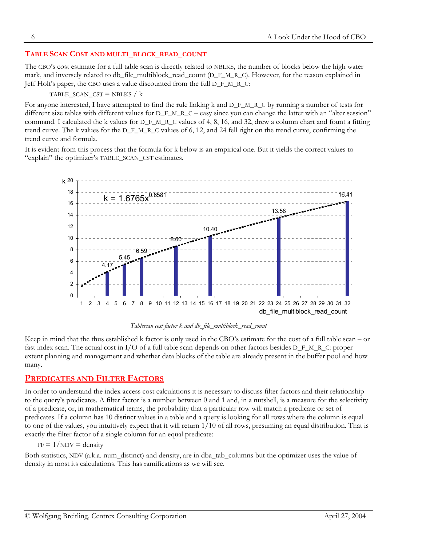## **TABLE SCAN COST AND MULTI\_BLOCK\_READ\_COUNT**

The CBO's cost estimate for a full table scan is directly related to NBLKS, the number of blocks below the high water mark, and inversely related to db\_file\_multiblock\_read\_count (D\_F\_M\_R\_C). However, for the reason explained in Jeff Holt's paper, the CBO uses a value discounted from the full D\_F\_M\_R\_C:

#### TABLE SCAN  $CST = NBLKS / k$

For anyone interested, I have attempted to find the rule linking k and D\_F\_M\_R\_C by running a number of tests for different size tables with different values for D\_F\_M\_R\_C – easy since you can change the latter with an "alter session" command. I calculated the k values for D\_F\_M\_R\_C values of 4, 8, 16, and 32, drew a column chart and fount a fitting trend curve. The k values for the D\_F\_M\_R\_C values of 6, 12, and 24 fell right on the trend curve, confirming the trend curve and formula.

It is evident from this process that the formula for k below is an empirical one. But it yields the correct values to "explain" the optimizer's TABLE\_SCAN\_CST estimates.



*Tablescan cost factor k and db\_file\_multiblock\_read\_count* 

Keep in mind that the thus established k factor is only used in the CBO's estimate for the cost of a full table scan – or fast index scan. The actual cost in I/O of a full table scan depends on other factors besides D\_F\_M\_R\_C: proper extent planning and management and whether data blocks of the table are already present in the buffer pool and how many.

## **PREDICATES AND FILTER FACTORS**

In order to understand the index access cost calculations it is necessary to discuss filter factors and their relationship to the query's predicates. A filter factor is a number between 0 and 1 and, in a nutshell, is a measure for the selectivity of a predicate, or, in mathematical terms, the probability that a particular row will match a predicate or set of predicates. If a column has 10 distinct values in a table and a query is looking for all rows where the column is equal to one of the values, you intuitively expect that it will return 1/10 of all rows, presuming an equal distribution. That is exactly the filter factor of a single column for an equal predicate:

 $FF = 1/NDV = density$ 

Both statistics, NDV (a.k.a. num\_distinct) and density, are in dba\_tab\_columns but the optimizer uses the value of density in most its calculations. This has ramifications as we will see.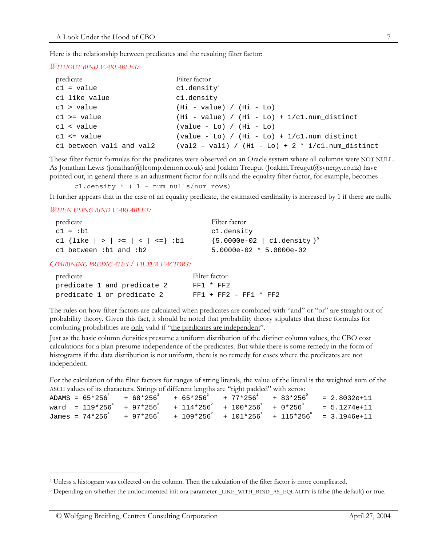Here is the relationship between predicates and the resulting filter factor:

#### *WITHOUT BIND VARIABLES:*

| predicate                | Filter factor                                                                |
|--------------------------|------------------------------------------------------------------------------|
| $c1 = value$             | c1.density <sup>4</sup>                                                      |
| c1 like value            | c1.density                                                                   |
| $c1 >$ value             | $(Hi - value) / (Hi - Lo)$                                                   |
| $c1$ >= value            | $(Hi - value) / (Hi - Lo) + 1(cl.num_distinct)$                              |
| $c1 <$ value             | $\left(\text{value} - \text{Lo}\right) / \left(\text{Hi} - \text{Lo}\right)$ |
| $c1 \leq vac$            | $\text{(value - Lo)} / \text{(Hi - Lo)} + 1 \cdot \text{cl.num\_distinct}$   |
| cl between vall and val2 | $\text{(val2 - val1)}$ / $\text{(Hi - Lo)} + 2 * 1 \text{/cl.num distinct}$  |

These filter factor formulas for the predicates were observed on an Oracle system where all columns were NOT NULL. As Jonathan Lewis (jonathan@jlcomp.demon.co.uk) and Joakim Treugut (Joakim.Treugut@synergy.co.nz) have pointed out, in general there is an adjustment factor for nulls and the equality filter factor, for example, becomes

<span id="page-6-2"></span>c1.density  $*$  ( 1 - num nulls/num rows)

It further appears that in the case of an equality predicate, the estimated cardinality is increased by 1 if there are nulls.

*WHEN USING BIND VARIABLES:* 

 $\overline{a}$ 

| predicate                            | Filter factor                        |
|--------------------------------------|--------------------------------------|
| $c1 = :b1$                           | cl.density                           |
| c1 {like $  >   > =   <   < =$ } :b1 | ${5.0000e-02}$   cl.density ${}^{5}$ |
| cl between $:b1$ and $:b2$           | $5.0000e-02 * 5.0000e-02$            |

*COMBINING PREDICATES / FILTER FACTORS:* 

| predicate                   | Filter factor           |
|-----------------------------|-------------------------|
| predicate 1 and predicate 2 | $FF1 * FF2$             |
| predicate 1 or predicate 2  | $FF1 + FF2 - FF1 * FF2$ |

The rules on how filter factors are calculated when predicates are combined with "and" or "or" are straight out of probability theory. Given this fact, it should be noted that probability theory stipulates that these formulas for combining probabilities are only valid if "the predicates are independent".

Just as the basic column densities presume a uniform distribution of the distinct column values, the CBO cost calculations for a plan presume independence of the predicates. But while there is some remedy in the form of histograms if the data distribution is not uniform, there is no remedy for cases where the predicates are not independent.

For the calculation of the filter factors for ranges of string literals, the value of the literal is the weighted sum of the ASCII values of its characters. Strings of different lengths are "right padded" with zeros:

|  |  |  |  |  |  | ADAMS = $65*256^{4}$ + $68*256^{3}$ + $65*256^{2}$ + $77*256^{1}$ + $83*256^{0}$ = 2.8032e+11    |
|--|--|--|--|--|--|--------------------------------------------------------------------------------------------------|
|  |  |  |  |  |  | ward = $119*256^4$ + $97*256^3$ + $114*256^2$ + $100*256^1$ + $0*256^0$ = $5.1274e+11$           |
|  |  |  |  |  |  | James = $74*256^{4}$ + $97*256^{3}$ + $109*256^{2}$ + $101*256^{1}$ + $115*256^{0}$ = 3.1946e+11 |

<span id="page-6-0"></span><sup>4</sup> Unless a histogram was collected on the column. Then the calculation of the filter factor is more complicated.

<span id="page-6-1"></span><sup>&</sup>lt;sup>5</sup> Depending on whether the undocumented init.ora parameter LIKE\_WITH\_BIND\_AS\_EQUALITY is false (the default) or true.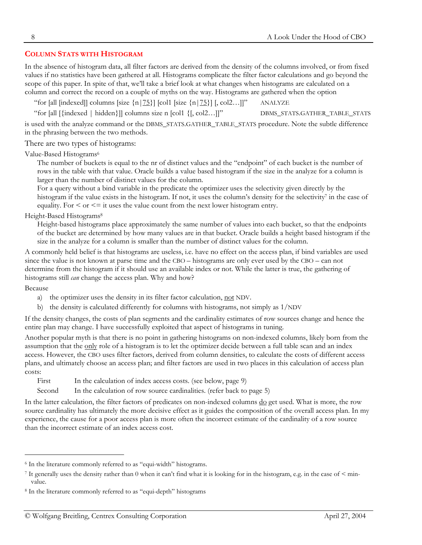## **COLUMN STATS WITH HISTOGRAM**

In the absence of histogram data, all filter factors are derived from the density of the columns involved, or from fixed values if no statistics have been gathered at all. Histograms complicate the filter factor calculations and go beyond the scope of this paper. In spite of that, we'll take a brief look at what changes when histograms are calculated on a column and correct the record on a couple of myths on the way. Histograms are gathered when the option

"for [all [indexed]] columns [size  $\{n|75\}$ ] [col1 [size  $\{n|75\}$ ] [, col2...]]" ANALYZE

"for [all [{indexed | hidden}]] columns size n [col1 {[, col2…]]" DBMS\_STATS.GATHER\_TABLE\_STATS is used with the analyze command or the DBMS\_STATS.GATHER\_TABLE\_STATS procedure. Note the subtle difference in the phrasing between the two methods.

There are two types of histograms:

[Value-Based Histograms](http://otn.oracle.com/docs/products/oracle8i/doc_library/817_doc/server.817/a76992/stats.htm)[6](#page-7-0)

The number of buckets is equal to the nr of distinct values and the "endpoint" of each bucket is the number of rows in the table with that value. Oracle builds a value based histogram if the size in the analyze for a column is larger than the number of distinct values for the column.

For a query without a bind variable in the predicate the optimizer uses the selectivity given directly by the histogram if the value exists in the histogram. If not, it uses the column's density for the selectivity<sup>7</sup> in the case of equality. For  $\leq$  or  $\leq$  it uses the value count from the next lower histogram entry.

[Height-Based Histograms](http://otn.oracle.com/docs/products/oracle8i/doc_library/817_doc/server.817/a76992/stats.htm)<sup>[8](#page-7-2)</sup>

Height-based histograms place approximately the same number of values into each bucket, so that the endpoints of the bucket are determined by how many values are in that bucket. Oracle builds a height based histogram if the size in the analyze for a column is smaller than the number of distinct values for the column.

A commonly held belief is that histograms are useless, i.e. have no effect on the access plan, if bind variables are used since the value is not known at parse time and the CBO – histograms are only ever used by the CBO – can not determine from the histogram if it should use an available index or not. While the latter is true, the gathering of histograms still *can* change the access plan. Why and how?

Because

 $\overline{a}$ 

- a) the optimizer uses the density in its filter factor calculation, <u>not</u> NDV.
- b) the density is calculated differently for columns with histograms, not simply as 1/NDV

If the density changes, the costs of plan segments and the cardinality estimates of row sources change and hence the entire plan may change. I have successfully exploited that aspect of histograms in tuning.

Another popular myth is that there is no point in gathering histograms on non-indexed columns, likely born from the assumption that the only role of a histogram is to let the optimizer decide between a full table scan and an index access. However, the CBO uses filter factors, derived from column densities, to calculate the costs of different access plans, and ultimately choose an access plan; and filter factors are used in two places in this calculation of access plan costs:

First In the calculation of index access costs. (see below, page [9\)](#page-8-0)

Second In the calculation of row source cardinalities. (refer back to page 5)

In the latter calculation, the filter factors of predicates on non-indexed columns do get used. What is more, the row source cardinality has ultimately the more decisive effect as it guides the composition of the overall access plan. In my experience, the cause for a poor access plan is more often the incorrect estimate of the cardinality of a row source than the incorrect estimate of an index access cost.

<span id="page-7-0"></span><sup>6</sup> In the literature commonly referred to as "equi-width" histograms.

<span id="page-7-1"></span><sup>&</sup>lt;sup>7</sup> It generally uses the density rather than 0 when it can't find what it is looking for in the histogram, e.g. in the case of  $\leq$  minvalue.

<span id="page-7-2"></span><sup>8</sup> In the literature commonly referred to as "equi-depth" histograms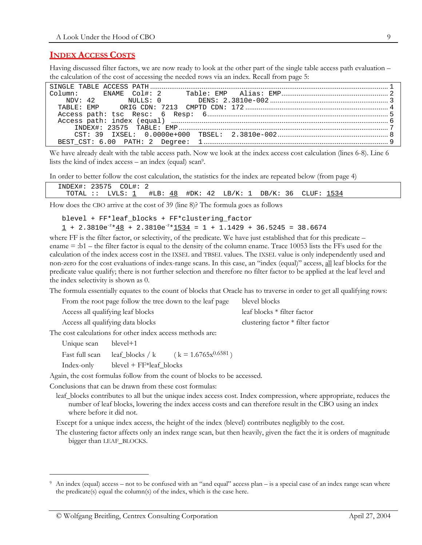## **INDEX ACCESS COSTS**

Having discussed filter factors, we are now ready to look at the other part of the single table access path evaluation – the calculation of the cost of accessing the needed rows via an index. Recall from page [5:](#page-4-3)

We have already dealt with the table access path. Now we look at the index access cost calculation (lines 6-8). Line 6 lists the kind of index  $access - an$  index (equal)  $scan^9$ .

In order to better follow the cost calculation, the statistics for the index are repeated below (from page [4\)](#page-3-0) 

| INDEX#: 23575 | COL#: , |                    |            |                             |              |              |  |
|---------------|---------|--------------------|------------|-----------------------------|--------------|--------------|--|
| TOTAL ::      | ÷       | LVLS: 1 #LB:<br>48 | #DK:<br>42 | $\degree$ LB/K: 1 $\degree$ | DB/K:<br>36. | 1534<br>CLUF |  |

How does the CBO arrive at the cost of 39 (line 8)? The formula goes as follows

<span id="page-8-0"></span>blevel + FF\*leaf\_blocks + FF\*clustering\_factor  $\underline{1}$  + 2.3810e<sup>-2</sup>\*<u>48</u> + 2.3810e<sup>-2</sup>\*<u>1534</u> = 1 + 1.1429 + 36.5245 = 38.6674

where FF is the filter factor, or selectivity, of the predicate. We have just established that for this predicate – ename = :b1 – the filter factor is equal to the density of the column ename. Trace 10053 lists the FFs used for the calculation of the index access cost in the IXSEL and TBSEL values. The IXSEL value is only independently used and non-zero for the cost evaluations of index-range scans. In this case, an "index (equal)" access, all leaf blocks for the predicate value qualify; there is not further selection and therefore no filter factor to be applied at the leaf level and the index selectivity is shown as 0.

The formula essentially equates to the count of blocks that Oracle has to traverse in order to get all qualifying rows:

| From the root page follow the tree down to the leaf page | blevel blocks                       |
|----------------------------------------------------------|-------------------------------------|
| Access all qualifying leaf blocks                        | leaf blocks $*$ filter factor       |
| Access all qualifying data blocks                        | clustering factor $*$ filter factor |

The cost calculations for other index access methods are:

| Unique scan    | blevel+1                  |                          |
|----------------|---------------------------|--------------------------|
| Fast full scan | leaf blocks / k           | $(k = 1.6765x^{0.6581})$ |
| Index-only     | $blevel + FF*leaf_blocks$ |                          |

Again, the cost formulas follow from the count of blocks to be accessed.

Conclusions that can be drawn from these cost formulas:

leaf\_blocks contributes to all but the unique index access cost. Index compression, where appropriate, reduces the number of leaf blocks, lowering the index access costs and can therefore result in the CBO using an index where before it did not.

Except for a unique index access, the height of the index (blevel) contributes negligibly to the cost.

The clustering factor affects only an index range scan, but then heavily, given the fact the it is orders of magnitude bigger than LEAF\_BLOCKS.

-

<span id="page-8-1"></span><sup>9</sup> An index (equal) access – not to be confused with an "and equal" access plan – is a special case of an index range scan where the predicate(s) equal the column(s) of the index, which is the case here.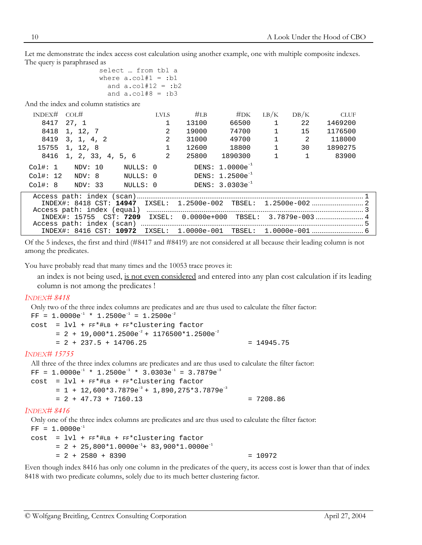Let me demonstrate the index access cost calculation using another example, one with multiple composite indexes. The query is paraphrased as

```
select … from tbl a 
where a.col#1 = :b1and a.col#12 = :b2
  and a.col#8 = :b3
```
And the index and column statistics are

| INDEX# COL# |                                                               | <b>LVLS</b> | #LB   | #DK                  | LB/K         | DB/K | <b>CLUF</b> |        |
|-------------|---------------------------------------------------------------|-------------|-------|----------------------|--------------|------|-------------|--------|
| 8417        | 27, 1                                                         |             | 13100 | 66500                | $\mathbf{1}$ | 22   | 1469200     |        |
|             | 8418 1, 12, 7                                                 | 2           | 19000 | 74700                |              | 15   | 1176500     |        |
|             | 8419 3, 1, 4, 2                                               | 2           | 31000 | 49700                |              | 2    | 118000      |        |
|             | 15755 1, 12, 8                                                | 1           | 12600 | 18800                |              | 30   | 1890275     |        |
|             | 8416 1, 2, 33, 4, 5, 6                                        | 2           | 25800 | 1890300              |              |      | 83900       |        |
| Col#: 1     | NULLS: 0<br>NDV: 10                                           |             |       | DENS: $1.0000e^{-1}$ |              |      |             |        |
| Col#: 12    | NULLS: 0<br>NDV: 8                                            |             |       | DENS: $1.2500e^{-1}$ |              |      |             |        |
| Col#: 8     | NDV: 33<br>NULLS: 0                                           |             |       | DENS: $3.0303e^{-1}$ |              |      |             |        |
|             | TNDRV4, 0410 dam, 14047 TVGRI, 1 3500, 003 MDGRI, 1 3500, 003 |             |       |                      |              |      |             | $\sim$ |

|  |  | INDEX#: 15755 CST: 7209 IXSEL: 0.0000e+000 TBSEL: 3.7879e-003 4 |  |
|--|--|-----------------------------------------------------------------|--|
|  |  |                                                                 |  |
|  |  |                                                                 |  |

Of the 5 indexes, the first and third (#8417 and #8419) are not considered at all because their leading column is not among the predicates.

You have probably read that many times and the 10053 trace proves it:

an index is not being used, is not even considered and entered into any plan cost calculation if its leading column is not among the predicates !

#### *INDEX# 8418*

Only two of the three index columns are predicates and are thus used to calculate the filter factor:  $FF = 1.0000e^{-1} * 1.2500e^{-1} = 1.2500e^{-2}$ 

 $cost = lvl + FF*#LB + FF*clustering factor$  $= 2 + 19,000*1.2500e^{-2} + 1176500*1.2500e^{-2}$  $= 2 + 237.5 + 14706.25$   $= 14945.75$ 

#### *INDEX# 15755*

All three of the three index columns are predicates and are thus used to calculate the filter factor:  $FF = 1.0000e^{-1} * 1.2500e^{-1} * 3.0303e^{-1} = 3.7879e^{-3}$  $cost = lvl + FF*#LB + FF*clustering factor$  $= 1 + 12,600*3.7879e^{-3} + 1,890,275*3.7879e^{-3}$  $= 2 + 47.73 + 7160.13$   $= 7208.86$ 

#### *INDEX# 8416*

Only one of the three index columns are predicates and are thus used to calculate the filter factor:  $FF = 1.0000e^{-1}$ 

```
cost = lvl + FF*#LB + FF*clustering factor 
     = 2 + 25,800*1.0000e^{-1} + 83,900*1.0000e^{-1}= 2 + 2580 + 8390 = 10972
```
Even though index 8416 has only one column in the predicates of the query, its access cost is lower than that of index 8418 with two predicate columns, solely due to its much better clustering factor.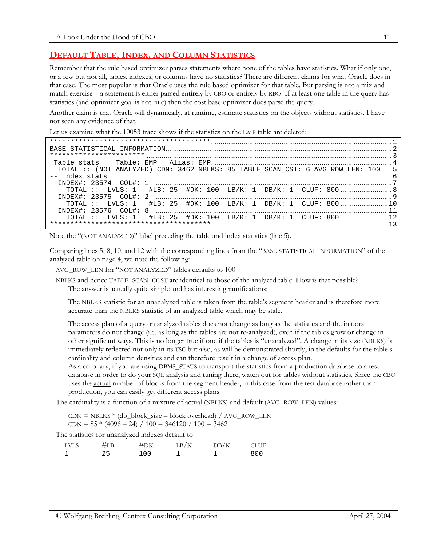## **DEFAULT TABLE, INDEX, AND COLUMN STATISTICS**

Remember that the rule based optimizer parses statements where none of the tables have statistics. What if only one, or a few but not all, tables, indexes, or columns have no statistics? There are different claims for what Oracle does in that case. The most popular is that Oracle uses the rule based optimizer for that table. But parsing is not a mix and match exercise – a statement is either parsed entirely by CBO or entirely by RBO. If at least one table in the query has statistics (and optimizer goal is not rule) then the cost base optimizer does parse the query.

Another claim is that Oracle will dynamically, at runtime, estimate statistics on the objects without statistics. I have not seen any evidence of that.

Let us examine what the 10053 trace shows if the statistics on the EMP table are deleted:

```
***************************************...............................................................................................1 
BASE STATISTICAL INFORMATION.......................................................................................................................2 
*********************** .................................................................................................................................3 
  Table stats Table: EMP Alias: EMP...............................................................................................4 
    TOTAL :: (NOT ANALYZED) CDN: 3462 NBLKS: 85 TABLE_SCAN_CST: 6 AVG_ROW_LEN: 100......5 
-- Index stats.....................................................................................................................................................6 
    INDEX#: 23574 COL#: 1 .............................................................................................................................7 
       TOTAL :: LVLS: 1 #LB: 25 #DK: 100 LB/K: 1 DB/K: 1 CLUF: 800 ...........................8 
    INDEX#: 23575 COL#: 2 .............................................................................................................................9 
                                    #LB: 25 #DK: 100 LB/K: 1 DB/K: 1 CLUF: 800.......................10
    INDEX#: 23576 COL#: 8 ...........................................................................................................................11 
       TOTAL :: LVLS: 1 #LB: 25 #DK: 100 LB/K: 1 DB/K: 1 CLUF: 800 .........................12 
***************************************.............................................................................................13
```
Note the "(NOT ANALYZED)" label preceding the table and index statistics (line 5).

Comparing lines 5, 8, 10, and 12 with the corresponding lines from the "BASE STATISTICAL INFORMATION" of the analyzed table on page [4,](#page-3-0) we note the following:

AVG\_ROW\_LEN for "NOT ANALYZED" tables defaults to 100

NBLKS and hence TABLE\_SCAN\_COST are identical to those of the analyzed table. How is that possible? The answer is actually quite simple and has interesting ramifications:

The NBLKS statistic for an unanalyzed table is taken from the table's segment header and is therefore more accurate than the NBLKS statistic of an analyzed table which may be stale.

The access plan of a query on analyzed tables does not change as long as the statistics and the init.ora parameters do not change (i.e. as long as the tables are not re-analyzed), even if the tables grow or change in other significant ways. This is no longer true if one if the tables is "unanalyzed". A change in its size (NBLKS) is immediately reflected not only in its TSC but also, as will be demonstrated shortly, in the defaults for the table's cardinality and column densities and can therefore result in a change of access plan.

As a corollary, if you are using DBMS\_STATS to transport the statistics from a production database to a test database in order to do your SQL analysis and tuning there, watch out for tables without statistics. Since the CBO uses the **actual** number of blocks from the segment header, in this case from the test database rather than production, you can easily get different access plans.

The cardinality is a function of a mixture of actual (NBLKS) and default (AVG\_ROW\_LEN) values:

 $CDN = NBLKS * (db\_block\_size - block overhead) / AVG\_ROW\_LEN$  $CDN = 85 * (4096 - 24) / 100 = 346120 / 100 = 3462$ 

The statistics for unanalyzed indexes default to

| <b>LVLS</b> | #LB | #DK | LB/K | DB/K | <b>CLUF</b> |
|-------------|-----|-----|------|------|-------------|
|             | 25  | 100 |      |      | 800         |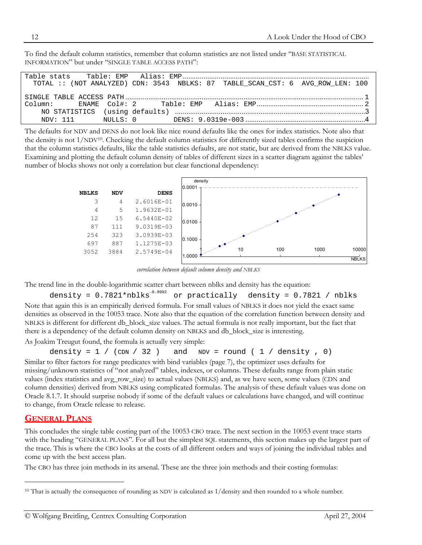To find the default column statistics, remember that column statistics are not listed under "BASE STATISTICAL INFORMATION" but under "SINGLE TABLE ACCESS PATH":

| TOTAL :: (NOT ANALYZED) CDN: 3543 NBLKS: 87 TABLE SCAN CST: 6 AVG ROW LEN: 100 |  |  |  |
|--------------------------------------------------------------------------------|--|--|--|
|                                                                                |  |  |  |
|                                                                                |  |  |  |
|                                                                                |  |  |  |
|                                                                                |  |  |  |
|                                                                                |  |  |  |

The defaults for NDV and DENS do not look like nice round defaults like the ones for index statistics. Note also that the density is not 1/NDV[10.](#page-11-0) Checking the default column statistics for differently sized tables confirms the suspicion that the column statistics defaults, like the table statistics defaults, are not static, but are derived from the NBLKS value. Examining and plotting the default column density of tables of different sizes in a scatter diagram against the tables' number of blocks shows not only a correlation but clear functional dependency:



*correlation between default column density and NBLKS*

The trend line in the double-logarithmic scatter chart between nblks and density has the equation:

density =  $0.7821*{\text{nblks}}^{-0.9992}$  or practically density =  $0.7821$  / nblks Note that again this is an empirically derived formula. For small values of NBLKS it does not yield the exact same densities as observed in the 10053 trace. Note also that the equation of the correlation function between density and NBLKS is different for different db\_block\_size values. The actual formula is not really important, but the fact that there is a dependency of the default column density on NBLKS and db\_block\_size is interesting.

As Joakim Treugut found, the formula is actually very simple:

$$
density = 1 / (CDN / 32) and NDV = round (1 / density , 0)
$$

Similar to filter factors for range predicates with bind variables (page [7\),](#page-6-2) the optimizer uses defaults for missing/unknown statistics of "not analyzed" tables, indexes, or columns. These defaults range from plain static values (index statistics and avg\_row\_size) to actual values (NBLKS) and, as we have seen, some values (CDN and column densities) derived from NBLKS using complicated formulas. The analysis of these default values was done on Oracle 8.1.7. It should surprise nobody if some of the default values or calculations have changed, and will continue to change, from Oracle release to release.

## **GENERAL PLANS**

 $\ddot{\phantom{a}}$ 

This concludes the single table costing part of the 10053 CBO trace. The next section in the 10053 event trace starts with the heading "GENERAL PLANS". For all but the simplest SQL statements, this section makes up the largest part of the trace. This is where the CBO looks at the costs of all different orders and ways of joining the individual tables and come up with the best access plan.

The CBO has three join methods in its arsenal. These are the three join methods and their costing formulas:

<span id="page-11-0"></span> $10$  That is actually the consequence of rounding as NDV is calculated as 1/density and then rounded to a whole number.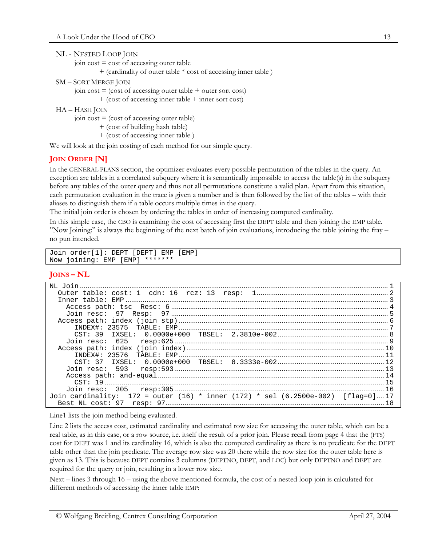| NL - NESTED LOOP JOIN                             |
|---------------------------------------------------|
| join $cost = cost of accessing outer table$       |
| + (cardinality of outer table * cost of accessing |
| <b>SM – SORT MERGE JOIN</b>                       |

```
join cost = (cost of accessing outer table + outer sort cost)+ (cost of accessing inner table + inner sort cost)
```
HA – HASH JOIN

join  $cost = (cost of accessing outer table)$ 

```
+ (cost of building hash table)
```
+ (cost of accessing inner table )

We will look at the join costing of each method for our simple query.

# **JOIN ORDER [N]**

In the GENERAL PLANS section, the optimizer evaluates every possible permutation of the tables in the query. An exception are tables in a correlated subquery where it is semantically impossible to access the table(s) in the subquery before any tables of the outer query and thus not all permutations constitute a valid plan. Apart from this situation, each permutation evaluation in the trace is given a number and is then followed by the list of the tables – with their aliases to distinguish them if a table occurs multiple times in the query.

inner table )

The initial join order is chosen by ordering the tables in order of increasing computed cardinality.

In this simple case, the CBO is examining the cost of accessing first the DEPT table and then joining the EMP table. "Now Joining:" is always the beginning of the next batch of join evaluations, introducing the table joining the fray – no pun intended.

```
Join order[1]: DEPT [DEPT] EMP [EMP] 
Now joining: EMP [EMP] *******
```
## **JOINS – NL**

| Join cardinality: $172 = outer (16) * inner (172) * sel (6.2500e-002) [flag=0]17$ |  |
|-----------------------------------------------------------------------------------|--|
|                                                                                   |  |

Line1 lists the join method being evaluated.

Line 2 lists the access cost, estimated cardinality and estimated row size for accessing the outer table, which can be a real table, as in this case, or a row source, i.e. itself the result of a prior join. Please recall from page [4 t](#page-3-1)hat the (FTS) cost for DEPT was 1 and its cardinality 16, which is also the computed cardinality as there is no predicate for the DEPT table other than the join predicate. The average row size was 20 there while the row size for the outer table here is given as 13. This is because DEPT contains 3 columns (DEPTNO, DEPT, and LOC) but only DEPTNO and DEPT are required for the query or join, resulting in a lower row size.

Next – lines 3 through 16 – using the above mentioned formula, the cost of a nested loop join is calculated for different methods of accessing the inner table EMP: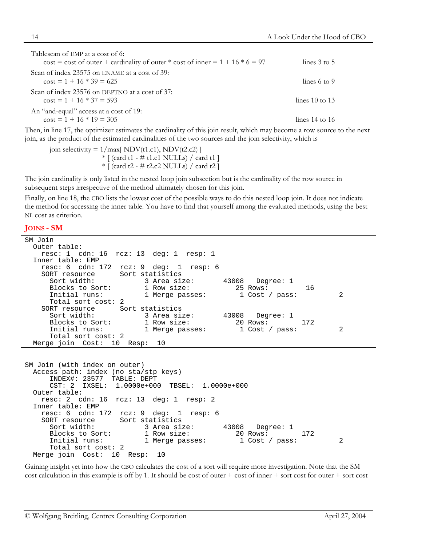| Tablescan of EMP at a cost of 6:                                                    |                         |  |
|-------------------------------------------------------------------------------------|-------------------------|--|
| $\cos t = \cos t$ of outer + cardinality of outer * cost of inner = 1 + 16 * 6 = 97 | lines $3$ to $5$        |  |
| Scan of index 23575 on ENAME at a cost of 39:                                       |                         |  |
| $\cos t = 1 + 16 * 39 = 625$                                                        | lines $6 \text{ to } 9$ |  |
| Scan of index 23576 on DEPTNO at a cost of 37:                                      |                         |  |
| $\cos t = 1 + 16 * 37 = 593$                                                        | lines $10$ to $13$      |  |
| An "and-equal" access at a cost of 19:                                              |                         |  |
| $\cos t = 1 + 16 * 19 = 305$                                                        | lines $14$ to $16$      |  |
|                                                                                     |                         |  |

Then, in line 17, the optimizer estimates the cardinality of this join result, which may become a row source to the next join, as the product of the estimated cardinalities of the two sources and the join selectivity, which is

join selectivity =  $1/\text{max}[\text{ NDV}(t1.c1), \text{ NDV}(t2.c2)]$  $*$  [ (card t1 - # t1.c1 NULLs) / card t1 ]  $*$  [ (card t2 - # t2.c2 NULLs) / card t2 ]

The join cardinality is only listed in the nested loop join subsection but is the cardinality of the row source in subsequent steps irrespective of the method ultimately chosen for this join.

Finally, on line 18, the CBO lists the lowest cost of the possible ways to do this nested loop join. It does not indicate the method for accessing the inner table. You have to find that yourself among the evaluated methods, using the best NL cost as criterion.

#### **JOINS - SM**

```
SM Join 
  Outer table: 
    resc: 1 cdn: 16 rcz: 13 deg: 1 resp: 1 
  Inner table: EMP 
    resc: 6 cdn: 172 rcz: 9 deg: 1 resp: 6 
    SORT resource Sort statistics 
     Sort width: 3 Area size: 43008 Degree: 1<br>Blocks to Sort: 1 Row size: 25 Rows:
      Blocks to Sort: 1 Row size: 25 Rows: 16 
     Initial runs: 1 Merge passes: 1 Cost / pass: 2
      Total sort cost: 2 
    SORT resource Sort statistics 
      Sort width: 3 Area size: 43008 Degree: 1 
     Blocks to Sort: 1 Row size: 20 Rows: 172<br>
Initial runs: 1 Merge passes: 1 Cost / pass:
                           1 Merge passes: 1 Cost / pass: 2
      Total sort cost: 2 
  Merge join Cost: 10 Resp: 10
```

```
SM Join (with index on outer) 
  Access path: index (no sta/stp keys) 
      INDEX#: 23577 TABLE: DEPT 
      CST: 2 IXSEL: 1.0000e+000 TBSEL: 1.0000e+000 
  Outer table: 
    resc: 2 cdn: 16 rcz: 13 deg: 1 resp: 2 
  Inner table: EMP 
    resc: 6 cdn: 172 rcz: 9 deg: 1 resp: 6 
   SORT resource
      Sort width: 3 Area size: 43008 Degree: 1 
      Blocks to Sort: 1 Row size: 20 Rows: 172 
     Initial runs: 1 Merge passes: 1 Cost / pass: 2
      Total sort cost: 2 
  Merge join Cost: 10 Resp: 10
```
Gaining insight yet into how the CBO calculates the cost of a sort will require more investigation. Note that the SM cost calculation in this example is off by 1. It should be cost of outer  $+$  cost of inner  $+$  sort cost for outer  $+$  sort cost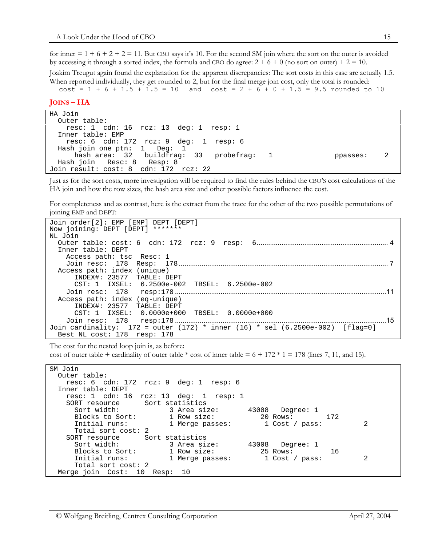for inner  $= 1 + 6 + 2 + 2 = 11$ . But CBO says it's 10. For the second SM join where the sort on the outer is avoided by accessing it through a sorted index, the formula and CBO do agree:  $2 + 6 + 0$  (no sort on outer) +  $2 = 10$ .

Joakim Treugut again found the explanation for the apparent discrepancies: The sort costs in this case are actually 1.5. When reported individually, they get rounded to 2, but for the final merge join cost, only the total is rounded:

 $cost = 1 + 6 + 1.5 + 1.5 = 10$  and  $cost = 2 + 6 + 0 + 1.5 = 9.5$  rounded to 10

#### **JOINS – HA**

```
HA Join 
  Outer table: 
    resc: 1 cdn: 16 rcz: 13 deg: 1 resp: 1 
  Inner table: EMP 
    resc: 6 cdn: 172 rcz: 9 deg: 1 resp: 6 
  Hash join one ptn: 1 Deg: 1 
      hash_area: 32 buildfrag: 33 probefrag: 1 ppasses: 2 
  Hash join Resc: 8 Resp: 8 
Join result: cost: 8 cdn: 172 rcz: 22
```
Just as for the sort costs, more investigation will be required to find the rules behind the CBO'S cost calculations of the HA join and how the row sizes, the hash area size and other possible factors influence the cost.

For completeness and as contrast, here is the extract from the trace for the other of the two possible permutations of joining EMP and DEPT:

```
Join order[2]: EMP [EMP] DEPT [DEPT] 
Now joining: DEPT [DEPT] ******* 
NL Join 
   Outer table: cost: 6 cdn: 172 rcz: 9 resp: 6..................................................................... 4 
   Inner table: DEPT 
      Access path: tsc Resc: 1 
      Join resc: 178 Resp: 178.............................................................................................................. 7 
   Access path: index (unique) 
        INDEX#: 23577 TABLE: DEPT 
        CST: 1 IXSEL: 6.2500e-002 TBSEL: 6.2500e-002 
      Join resc: 178 resp:178 ...............................................................................................................11
   Access path: index (eq-unique) 
        INDEX#: 23577 TABLE: DEPT 
        CST: 1 IXSEL: 0.0000e+000 TBSEL: 0.0000e+000 
      Join resc: 178 resp:178 ...............................................................................................................15
Join cardinality: 172 = outer (172) * inner (16) * sel (6.2500e-002) [flag=0] 
   Best NL cost: 178 resp: 178
```
The cost for the nested loop join is, as before:

cost of outer table + cardinality of outer table  $*$  cost of inner table = 6 + 172  $*$  1 = 178 (lines 7, 11, and 15).

```
SM Join 
  Outer table: 
    resc: 6 cdn: 172 rcz: 9 deg: 1 resp: 6 
  Inner table: DEPT 
    resc: 1 cdn: 16 rcz: 13 deg: 1 resp: 1 
   SORT resource Sort statistics
      Sort width: 3 Area size: 43008 Degree: 1 
     Blocks to Sort: 1 Row size: 20 Rows: 172<br>
Initial runs: 1 Merge passes: 1 Cost / pass:
                         1 Merge passes: 1 Cost / pass: 2
      Total sort cost: 2 
    SORT resource Sort statistics 
      Sort width: 3 Area size: 43008 Degree: 1 
      Blocks to Sort: 1 Row size: 25 Rows: 16 
     Initial runs: 1 Merge passes: 1 Cost / pass: 2
      Total sort cost: 2 
  Merge join Cost: 10 Resp: 10
```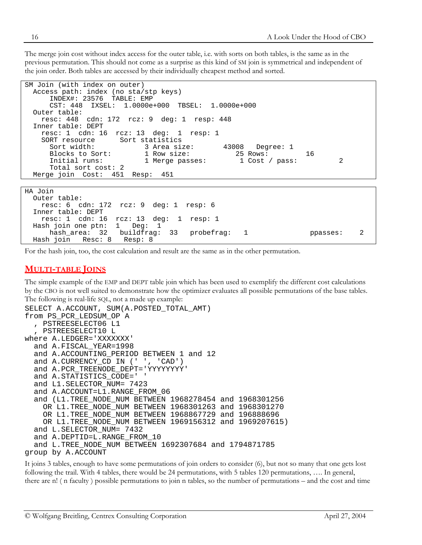The merge join cost without index access for the outer table, i.e. with sorts on both tables, is the same as in the previous permutation. This should not come as a surprise as this kind of SM join is symmetrical and independent of the join order. Both tables are accessed by their individually cheapest method and sorted.

```
SM Join (with index on outer) 
  Access path: index (no sta/stp keys) 
      INDEX#: 23576 TABLE: EMP 
      CST: 448 IXSEL: 1.0000e+000 TBSEL: 1.0000e+000 
  Outer table: 
    resc: 448 cdn: 172 rcz: 9 deg: 1 resp: 448 
  Inner table: DEPT 
    resc: 1 cdn: 16 rcz: 13 deg: 1 resp: 1 
                     Sort statistics
      Sort width: 3 Area size: 43008 Degree: 1 
     Blocks to Sort: 1 Row size: 25 Rows: 16<br>
Initial runs: 1 Merge passes: 1 Cost / pass:
     Initial runs: 1 Merge passes: 1 Cost / pass: 2
      Total sort cost: 2 
  Merge join Cost: 451 Resp: 451
```

| HA Join                                        |         |                |          |  |
|------------------------------------------------|---------|----------------|----------|--|
| Outer table:                                   |         |                |          |  |
| resc: $6$ cdn: 172 rcz: $9$ deg: $1$ resp: $6$ |         |                |          |  |
| Inner table: DEPT                              |         |                |          |  |
| resc: 1 cdn: 16 $rcz$ : 13 deq: 1 $resp$ : 1   |         |                |          |  |
| Hash join one ptn: $1$ Deq: $1$                |         |                |          |  |
| hash area: 32 buildfrag: 33 probefrag:         |         | $\overline{1}$ | ppasses: |  |
| Hash join Resc: 8                              | Resp: 8 |                |          |  |

For the hash join, too, the cost calculation and result are the same as in the other permutation.

## **MULTI-TABLE JOINS**

The simple example of the EMP and DEPT table join which has been used to exemplify the different cost calculations by the CBO is not well suited to demonstrate how the optimizer evaluates all possible permutations of the base tables. The following is real-life SQL, not a made up example:

```
SELECT A.ACCOUNT, SUM(A.POSTED TOTAL AMT)
from PS_PCR_LEDSUM_OP A 
   , PSTREESELECT06 L1 
   , PSTREESELECT10 L 
where A.LEDGER='XXXXXXX' 
   and A.FISCAL_YEAR=1998 
   and A.ACCOUNTING_PERIOD BETWEEN 1 and 12 
  and A.CURRENCY CD IN (' ', 'CAD')
   and A.PCR_TREENODE_DEPT='YYYYYYYY' 
   and A.STATISTICS_CODE=' ' 
   and L1.SELECTOR_NUM= 7423 
   and A.ACCOUNT=L1.RANGE_FROM_06 
   and (L1.TREE_NODE_NUM BETWEEN 1968278454 and 1968301256 
    OR L1.TREE NODE NUM BETWEEN 1968301263 and 1968301270
     OR L1.TREE_NODE_NUM BETWEEN 1968867729 and 196888696 
     OR L1.TREE_NODE_NUM BETWEEN 1969156312 and 1969207615) 
   and L.SELECTOR_NUM= 7432 
   and A.DEPTID=L.RANGE_FROM_10 
   and L.TREE_NODE_NUM BETWEEN 1692307684 and 1794871785 
group by A.ACCOUNT
```
It joins 3 tables, enough to have some permutations of join orders to consider (6), but not so many that one gets lost following the trail. With 4 tables, there would be 24 permutations, with 5 tables 120 permutations, …. In general, there are n! ( n faculty ) possible permutations to join n tables, so the number of permutations – and the cost and time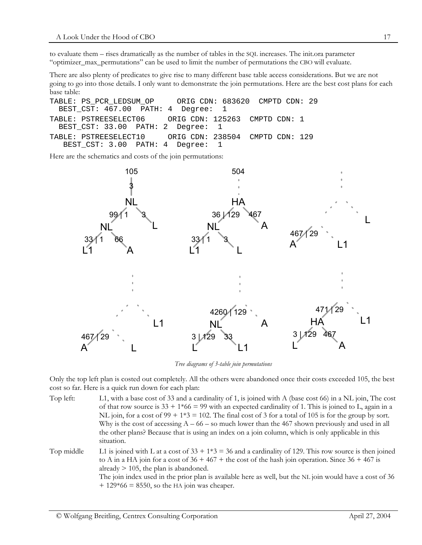to evaluate them – rises dramatically as the number of tables in the SQL increases. The init.ora parameter "optimizer\_max\_permutations" can be used to limit the number of permutations the CBO will evaluate.

There are also plenty of predicates to give rise to many different base table access considerations. But we are not going to go into those details. I only want to demonstrate the join permutations. Here are the best cost plans for each base table:

TABLE: PS\_PCR\_LEDSUM\_OP ORIG CDN: 683620 CMPTD CDN: 29 BEST\_CST: 467.00 PATH: 4 Degree: 1 TABLE: PSTREESELECT06 ORIG CDN: 125263 CMPTD CDN: 1 BEST CST: 33.00 PATH: 2 Degree: 1 TABLE: PSTREESELECT10 ORIG CDN: 238504 CMPTD CDN: 129 BEST CST: 3.00 PATH: 4 Degree: 1

Here are the schematics and costs of the join permutations:



*Tree diagrams of 3-table join permutations* 

Only the top left plan is costed out completely. All the others were abandoned once their costs exceeded 105, the best cost so far. Here is a quick run down for each plan:

- Top left: L1, with a base cost of 33 and a cardinality of 1, is joined with A (base cost 66) in a NL join, The cost of that row source is  $33 + 1*66 = 99$  with an expected cardinality of 1. This is joined to L, again in a NL join, for a cost of  $99 + 1*3 = 102$ . The final cost of 3 for a total of 105 is for the group by sort. Why is the cost of accessing  $A - 66 -$  so much lower than the 467 shown previously and used in all the other plans? Because that is using an index on a join column, which is only applicable in this situation.
- Top middle L1 is joined with L at a cost of  $33 + 1*3 = 36$  and a cardinality of 129. This row source is then joined to A in a HA join for a cost of  $36 + 467 +$  the cost of the hash join operation. Since  $36 + 467$  is already  $> 105$ , the plan is abandoned. The join index used in the prior plan is available here as well, but the NL join would have a cost of 36  $+$  129 $*$ 66 = 8550, so the HA join was cheaper.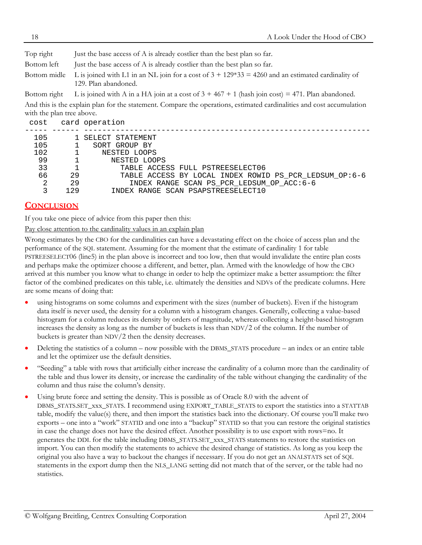| Top right                 | Just the base access of A is already costlier than the best plan so far.                                                    |
|---------------------------|-----------------------------------------------------------------------------------------------------------------------------|
| Bottom left               | Just the base access of A is already costlier than the best plan so far.                                                    |
| Bottom midle              | L is joined with L1 in an NL join for a cost of $3 + 129*33 = 4260$ and an estimated cardinality of<br>129. Plan abandoned. |
| Bottom right              | L is joined with A in a HA join at a cost of $3 + 467 + 1$ (hash join cost) = 471. Plan abandoned.                          |
| with the plan tree above. | And this is the explain plan for the statement. Compare the operations, estimated cardinalities and cost accumulation       |

| cost |              | card operation                                         |
|------|--------------|--------------------------------------------------------|
|      |              |                                                        |
| 105  |              | 1 SELECT STATEMENT                                     |
| 105  |              | SORT GROUP BY                                          |
| 102  |              | NESTED LOOPS                                           |
| 99   |              | NESTED LOOPS                                           |
| 33   | $\mathbf{1}$ | TABLE ACCESS FULL PSTREESELECT06                       |
| 66   | 29           | TABLE ACCESS BY LOCAL INDEX ROWID PS_PCR_LEDSUM_OP:6-6 |
| 2    | 29           | INDEX RANGE SCAN PS PCR LEDSUM OP ACC: 6-6             |
|      | 129          | INDEX RANGE SCAN PSAPSTREESELECT10                     |

# **CONCLUSION**

If you take one piece of advice from this paper then this:

Pay close attention to the cardinality values in an explain plan

Wrong estimates by the CBO for the cardinalities can have a devastating effect on the choice of access plan and the performance of the SQL statement. Assuming for the moment that the estimate of cardinality 1 for table PSTREESELECT06 (line5) in the plan above is incorrect and too low, then that would invalidate the entire plan costs and perhaps make the optimizer choose a different, and better, plan. Armed with the knowledge of how the CBO arrived at this number you know what to change in order to help the optimizer make a better assumption: the filter factor of the combined predicates on this table, i.e. ultimately the densities and NDVs of the predicate columns. Here are some means of doing that:

- using histograms on some columns and experiment with the sizes (number of buckets). Even if the histogram data itself is never used, the density for a column with a histogram changes. Generally, collecting a value-based histogram for a column reduces its density by orders of magnitude, whereas collecting a height-based histogram increases the density as long as the number of buckets is less than NDV/2 of the column. If the number of buckets is greater than NDV/2 then the density decreases.
- Deleting the statistics of a column – now possible with the DBMS\_STATS procedure – an index or an entire table and let the optimizer use the default densities.
- "Seeding" a table with rows that artificially either increase the cardinality of a column more than the cardinality of the table and thus lower its density, or increase the cardinality of the table without changing the cardinality of the column and thus raise the column's density.
- Using brute force and setting the density. This is possible as of Oracle 8.0 with the advent of DBMS\_STATS.SET\_xxx\_STATS. I recommend using EXPORT\_TABLE\_STATS to export the statistics into a STATTAB table, modify the value(s) there, and then import the statistics back into the dictionary. Of course you'll make two exports – one into a "work" STATID and one into a "backup" STATID so that you can restore the original statistics in case the change does not have the desired effect. Another possibility is to use export with rows=no. It generates the DDL for the table including DBMS\_STATS.SET\_xxx\_STATS statements to restore the statistics on import. You can then modify the statements to achieve the desired change of statistics. As long as you keep the original you also have a way to backout the changes if necessary. If you do not get an ANALSTATS set of SQL statements in the export dump then the NLS\_LANG setting did not match that of the server, or the table had no statistics.